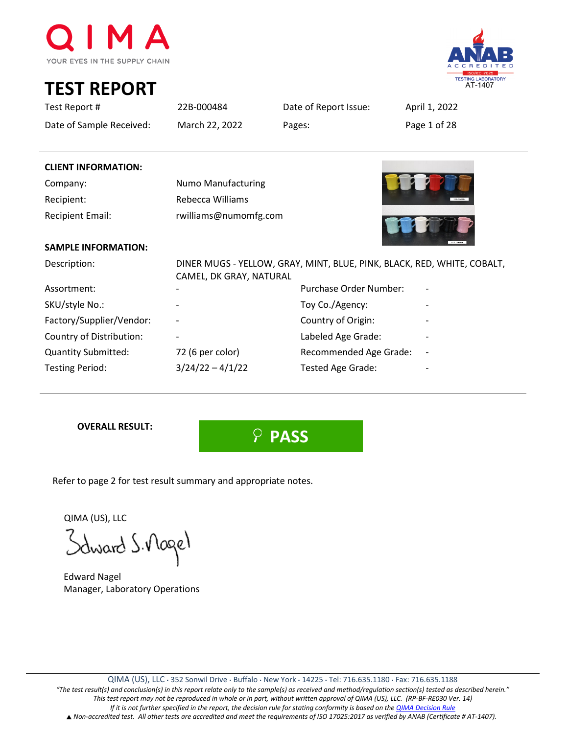

**TEST REPORT**



| Test Report #              | 22B-000484                | Date of Report Issue:                                                   | April 1, 2022 |
|----------------------------|---------------------------|-------------------------------------------------------------------------|---------------|
| Date of Sample Received:   | March 22, 2022            | Pages:                                                                  | Page 1 of 28  |
|                            |                           |                                                                         |               |
| <b>CLIENT INFORMATION:</b> |                           |                                                                         |               |
| Company:                   | <b>Numo Manufacturing</b> |                                                                         |               |
| Recipient:                 | Rebecca Williams          |                                                                         |               |
| <b>Recipient Email:</b>    | rwilliams@numomfg.com     |                                                                         |               |
| <b>SAMPLE INFORMATION:</b> |                           |                                                                         |               |
| Description:               | CAMEL, DK GRAY, NATURAL   | DINER MUGS - YELLOW, GRAY, MINT, BLUE, PINK, BLACK, RED, WHITE, COBALT, |               |
| Assortment:                |                           | Purchase Order Number:                                                  |               |
| SKU/style No.:             |                           | Toy Co./Agency:                                                         |               |
| Factory/Supplier/Vendor:   |                           | Country of Origin:                                                      |               |
| Country of Distribution:   |                           | Labeled Age Grade:                                                      |               |
| <b>Quantity Submitted:</b> | 72 (6 per color)          | Recommended Age Grade:                                                  |               |
| <b>Testing Period:</b>     | $3/24/22 - 4/1/22$        | Tested Age Grade:                                                       |               |

**OVERALL RESULT:**

 **PASS**

Refer to page 2 for test result summary and appropriate notes.

QIMA (US), LLC

Schward S. Mogel

 Edward Nagel Manager, Laboratory Operations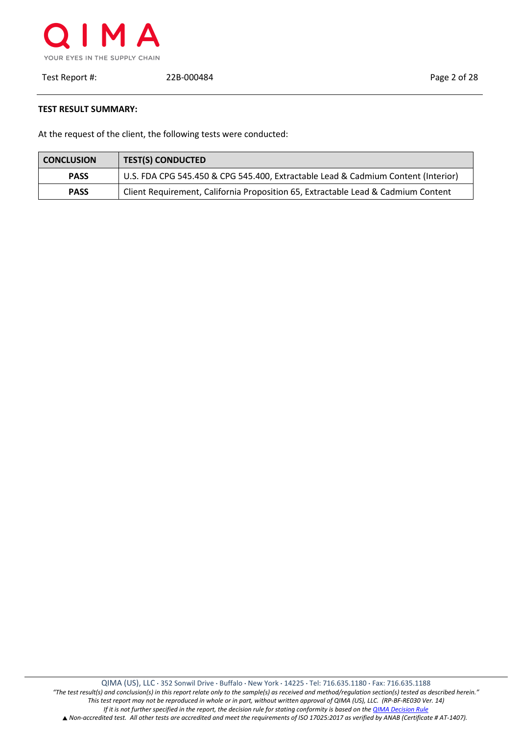

Test Report #: 22B-000484 Page 2 of 28

**TEST RESULT SUMMARY:**

At the request of the client, the following tests were conducted:

| <b>CONCLUSION</b> | <b>TEST(S) CONDUCTED</b>                                                          |
|-------------------|-----------------------------------------------------------------------------------|
| <b>PASS</b>       | U.S. FDA CPG 545.450 & CPG 545.400, Extractable Lead & Cadmium Content (Interior) |
| <b>PASS</b>       | Client Requirement, California Proposition 65, Extractable Lead & Cadmium Content |

QIMA (US), LLC ⋅ 352 Sonwil Drive ⋅ Buffalo ⋅ New York ⋅ 14225 ⋅ Tel: 716.635.1180 ⋅ Fax: 716.635.1188 *"The test result(s) and conclusion(s) in this report relate only to the sample(s) as received and method/regulation section(s) tested as described herein." This test report may not be reproduced in whole or in part, without written approval of QIMA (US), LLC. (RP-BF-RE030 Ver. 14) If it is not further specified in the report, the decision rule for stating conformity is based on the QIMA Decision Rule* ▲ *Non-accredited test. All other tests are accredited and meet the requirements of ISO 17025:2017 as verified by ANAB (Certificate # AT-1407).*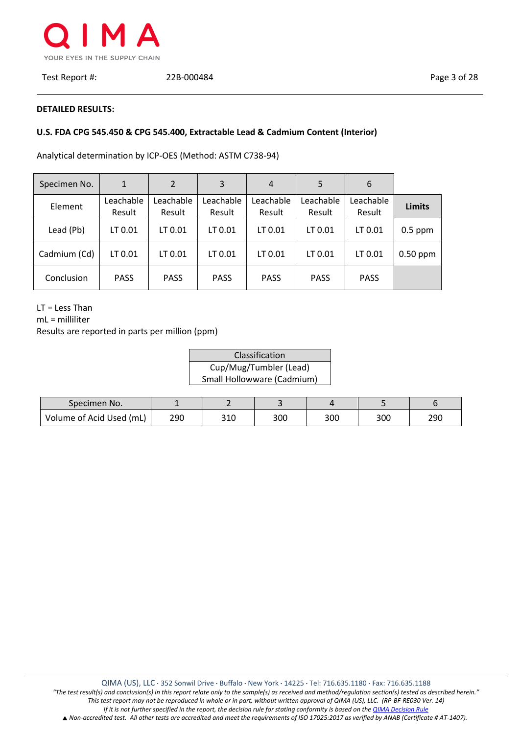

Test Report #: 22B-000484 Page 3 of 28

#### **DETAILED RESULTS:**

# **U.S. FDA CPG 545.450 & CPG 545.400, Extractable Lead & Cadmium Content (Interior)**

Analytical determination by ICP-OES (Method: ASTM C738-94)

| Specimen No. | $\mathbf{1}$        | 2                   | 3                   | 4                   | 5                   | 6                   |               |
|--------------|---------------------|---------------------|---------------------|---------------------|---------------------|---------------------|---------------|
| Element      | Leachable<br>Result | Leachable<br>Result | Leachable<br>Result | Leachable<br>Result | Leachable<br>Result | Leachable<br>Result | <b>Limits</b> |
| Lead (Pb)    | LT 0.01             | LT 0.01             | LT 0.01             | LT 0.01             | LT 0.01             | LT 0.01             | $0.5$ ppm     |
| Cadmium (Cd) | LT 0.01             | LT 0.01             | LT 0.01             | LT 0.01             | LT 0.01             | LT 0.01             | $0.50$ ppm    |
| Conclusion   | <b>PASS</b>         | <b>PASS</b>         | <b>PASS</b>         | <b>PASS</b>         | <b>PASS</b>         | <b>PASS</b>         |               |

LT = Less Than

mL = milliliter

| Classification             |
|----------------------------|
| Cup/Mug/Tumbler (Lead)     |
| Small Hollowware (Cadmium) |

| Specimen No.             |     |     |     |     |     |     |
|--------------------------|-----|-----|-----|-----|-----|-----|
| Volume of Acid Used (mL) | 290 | 310 | 300 | 300 | 300 | 290 |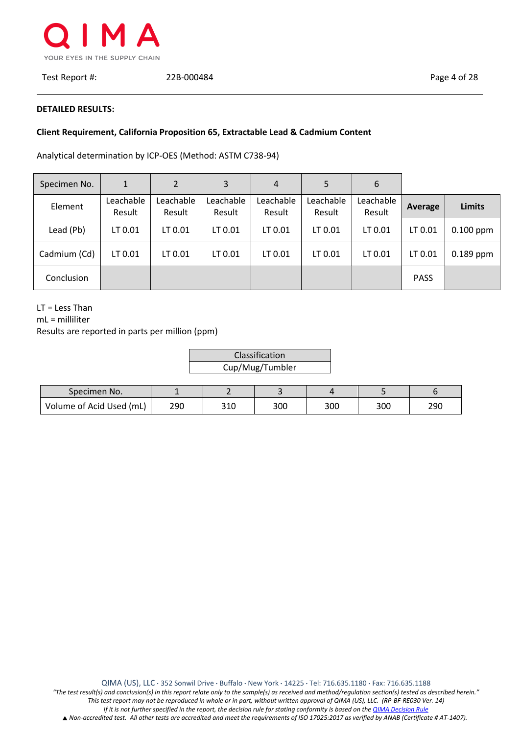

Test Report #: 22B-000484 Page 4 of 28

#### **DETAILED RESULTS:**

## **Client Requirement, California Proposition 65, Extractable Lead & Cadmium Content**

 $\vdash$ 

Analytical determination by ICP-OES (Method: ASTM C738-94)

| Specimen No. | 1                   | $\overline{2}$      | 3                   | 4                   | 5                   | 6                   |             |               |
|--------------|---------------------|---------------------|---------------------|---------------------|---------------------|---------------------|-------------|---------------|
| Element      | Leachable<br>Result | Leachable<br>Result | Leachable<br>Result | Leachable<br>Result | Leachable<br>Result | Leachable<br>Result | Average     | <b>Limits</b> |
| Lead (Pb)    | LT 0.01             | LT 0.01             | LT 0.01             | LT 0.01             | LT 0.01             | LT 0.01             | LT 0.01     | $0.100$ ppm   |
| Cadmium (Cd) | LT 0.01             | LT 0.01             | LT 0.01             | LT 0.01             | LT 0.01             | LT 0.01             | LT 0.01     | $0.189$ ppm   |
| Conclusion   |                     |                     |                     |                     |                     |                     | <b>PASS</b> |               |

LT = Less Than

mL = milliliter

| Classification  |  |
|-----------------|--|
| Cup/Mug/Tumbler |  |

| Specimen No.             |     |     |     |     |     |     |
|--------------------------|-----|-----|-----|-----|-----|-----|
| Volume of Acid Used (mL) | 290 | 310 | 300 | 300 | 300 | 290 |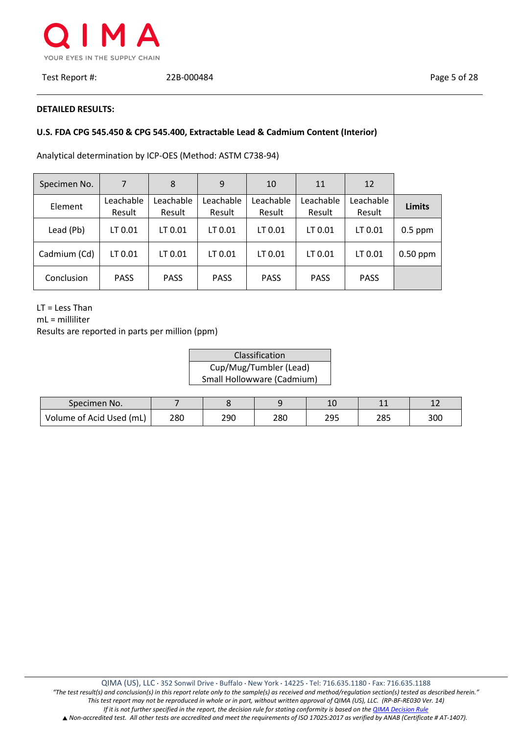

Test Report #: 22B-000484 Page 5 of 28

## **DETAILED RESULTS:**

## **U.S. FDA CPG 545.450 & CPG 545.400, Extractable Lead & Cadmium Content (Interior)**

Analytical determination by ICP-OES (Method: ASTM C738-94)

| Specimen No. | 7                   | 8                   | 9                   | 10                  | 11                  | 12                  |               |
|--------------|---------------------|---------------------|---------------------|---------------------|---------------------|---------------------|---------------|
| Element      | Leachable<br>Result | Leachable<br>Result | Leachable<br>Result | Leachable<br>Result | Leachable<br>Result | Leachable<br>Result | <b>Limits</b> |
| Lead (Pb)    | LT 0.01             | LT 0.01             | LT 0.01             | LT 0.01             | LT 0.01             | LT 0.01             | $0.5$ ppm     |
| Cadmium (Cd) | LT 0.01             | LT 0.01             | LT 0.01             | LT 0.01             | LT 0.01             | LT 0.01             | $0.50$ ppm    |
| Conclusion   | <b>PASS</b>         | <b>PASS</b>         | <b>PASS</b>         | <b>PASS</b>         | <b>PASS</b>         | <b>PASS</b>         |               |

LT = Less Than

mL = milliliter

| Classification             |
|----------------------------|
| Cup/Mug/Tumbler (Lead)     |
| Small Hollowware (Cadmium) |

| Specimen No.             |     |     |     | 10  | --         | <u>+ 4</u> |
|--------------------------|-----|-----|-----|-----|------------|------------|
| Volume of Acid Used (mL) | 280 | 290 | 280 | 295 | ว๐⊏<br>203 | 300        |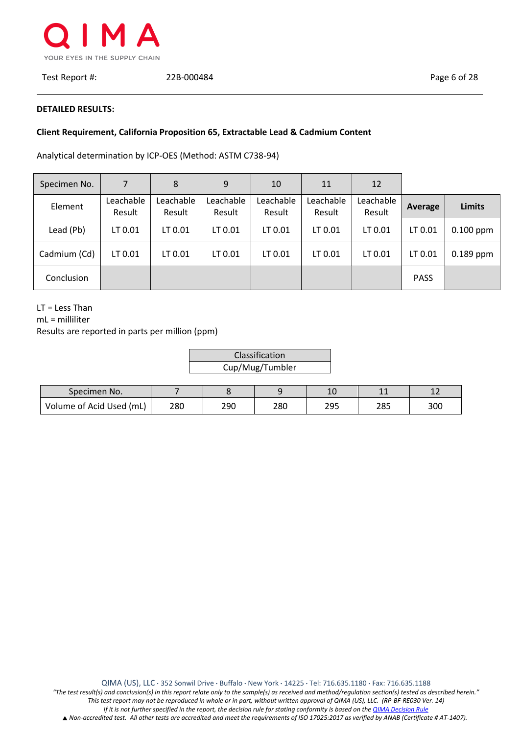

Test Report #: 22B-000484 Page 6 of 28

#### **DETAILED RESULTS:**

# **Client Requirement, California Proposition 65, Extractable Lead & Cadmium Content**

Analytical determination by ICP-OES (Method: ASTM C738-94)

| Specimen No. | 7                   | 8                   | 9                   | 10                  | 11                  | 12                  |             |               |
|--------------|---------------------|---------------------|---------------------|---------------------|---------------------|---------------------|-------------|---------------|
| Element      | Leachable<br>Result | Leachable<br>Result | Leachable<br>Result | Leachable<br>Result | Leachable<br>Result | Leachable<br>Result | Average     | <b>Limits</b> |
| Lead (Pb)    | LT 0.01             | LT 0.01             | LT 0.01             | LT 0.01             | LT 0.01             | LT 0.01             | LT 0.01     | $0.100$ ppm   |
| Cadmium (Cd) | LT 0.01             | LT 0.01             | LT 0.01             | LT 0.01             | LT 0.01             | LT 0.01             | LT 0.01     | $0.189$ ppm   |
| Conclusion   |                     |                     |                     |                     |                     |                     | <b>PASS</b> |               |

LT = Less Than

mL = milliliter

| Classification  |  |
|-----------------|--|
| Cup/Mug/Tumbler |  |

| Specimen No.             |     |     |     | 1 <sup>c</sup><br>Τn | --         | <u>+ 2</u> |
|--------------------------|-----|-----|-----|----------------------|------------|------------|
| Volume of Acid Used (mL) | 280 | 290 | 280 | 295                  | ว๐๓<br>دە∠ | 300        |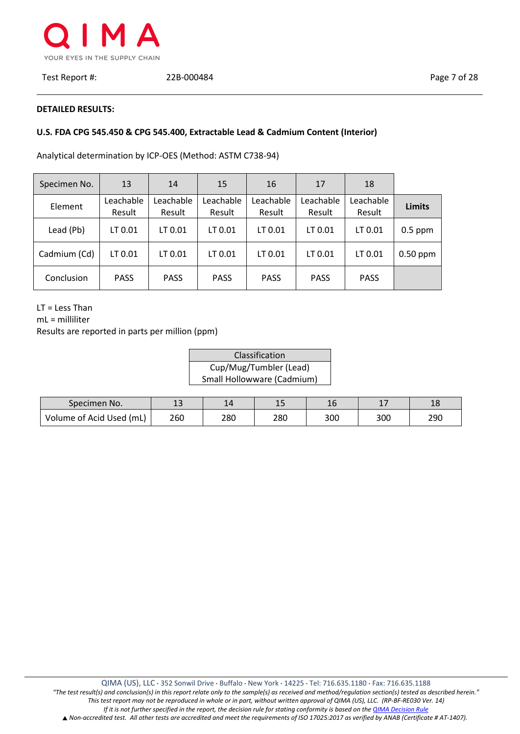

Test Report #: 22B-000484 Page 7 of 28

#### **DETAILED RESULTS:**

# **U.S. FDA CPG 545.450 & CPG 545.400, Extractable Lead & Cadmium Content (Interior)**

Analytical determination by ICP-OES (Method: ASTM C738-94)

| Specimen No. | 13                  | 14                  | 15                  | 16                  | 17                  | 18                  |               |
|--------------|---------------------|---------------------|---------------------|---------------------|---------------------|---------------------|---------------|
| Element      | Leachable<br>Result | Leachable<br>Result | Leachable<br>Result | Leachable<br>Result | Leachable<br>Result | Leachable<br>Result | <b>Limits</b> |
| Lead (Pb)    | LT 0.01             | LT 0.01             | LT 0.01             | LT 0.01             | LT 0.01             | LT 0.01             | $0.5$ ppm     |
| Cadmium (Cd) | LT 0.01             | LT 0.01             | LT 0.01             | LT 0.01             | LT 0.01             | LT 0.01             | $0.50$ ppm    |
| Conclusion   | <b>PASS</b>         | <b>PASS</b>         | <b>PASS</b>         | <b>PASS</b>         | <b>PASS</b>         | <b>PASS</b>         |               |

LT = Less Than

mL = milliliter

| Classification             |
|----------------------------|
| Cup/Mug/Tumbler (Lead)     |
| Small Hollowware (Cadmium) |

| Specimen No.             | 1 <sup>2</sup><br>⊥ఎ | 14  | --  | 16  | . . | 1 <sub>O</sub><br>ŦС |
|--------------------------|----------------------|-----|-----|-----|-----|----------------------|
| Volume of Acid Used (mL) | 260                  | 280 | 280 | 300 | 300 | 290                  |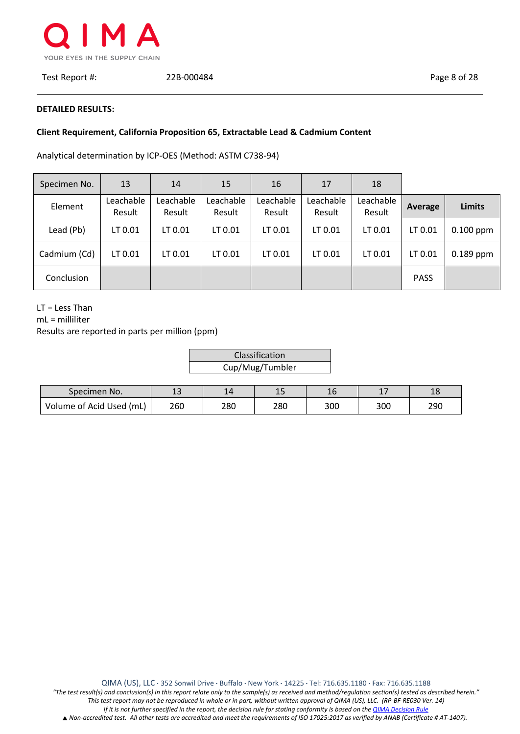

Test Report #: 22B-000484 Page 8 of 28

## **DETAILED RESULTS:**

# **Client Requirement, California Proposition 65, Extractable Lead & Cadmium Content**

Analytical determination by ICP-OES (Method: ASTM C738-94)

| Specimen No. | 13                  | 14                  | 15                  | 16                  | 17                  | 18                  |             |               |
|--------------|---------------------|---------------------|---------------------|---------------------|---------------------|---------------------|-------------|---------------|
| Element      | Leachable<br>Result | Leachable<br>Result | Leachable<br>Result | Leachable<br>Result | Leachable<br>Result | Leachable<br>Result | Average     | <b>Limits</b> |
| Lead (Pb)    | LT 0.01             | LT 0.01             | LT 0.01             | LT 0.01             | LT 0.01             | LT 0.01             | LT 0.01     | $0.100$ ppm   |
| Cadmium (Cd) | LT 0.01             | LT 0.01             | LT 0.01             | LT 0.01             | LT 0.01             | LT 0.01             | LT 0.01     | $0.189$ ppm   |
| Conclusion   |                     |                     |                     |                     |                     |                     | <b>PASS</b> |               |

LT = Less Than

mL = milliliter

| Classification  |  |
|-----------------|--|
| Cup/Mug/Tumbler |  |

| Specimen No.             | --  |     | ᆠ   | ⊥∪  | -   | ᅩ   |
|--------------------------|-----|-----|-----|-----|-----|-----|
| Volume of Acid Used (mL) | 260 | 280 | 280 | 300 | 300 | 290 |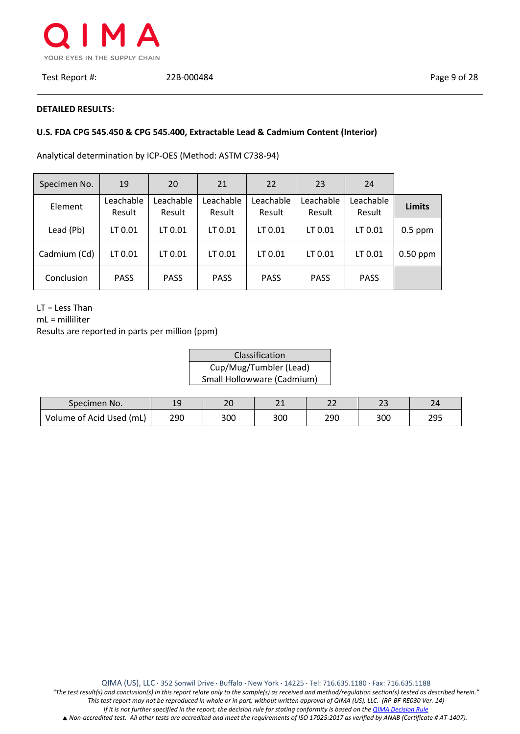

Test Report #: 22B-000484 Page 9 of 28

## **DETAILED RESULTS:**

# **U.S. FDA CPG 545.450 & CPG 545.400, Extractable Lead & Cadmium Content (Interior)**

Analytical determination by ICP-OES (Method: ASTM C738-94)

| Specimen No. | 19                  | 20                  | 21                  | 22                  | 23                  | 24                  |               |
|--------------|---------------------|---------------------|---------------------|---------------------|---------------------|---------------------|---------------|
| Element      | Leachable<br>Result | Leachable<br>Result | Leachable<br>Result | Leachable<br>Result | Leachable<br>Result | Leachable<br>Result | <b>Limits</b> |
| Lead (Pb)    | LT 0.01             | LT 0.01             | LT 0.01             | LT 0.01             | LT 0.01             | LT 0.01             | $0.5$ ppm     |
| Cadmium (Cd) | LT 0.01             | LT 0.01             | LT 0.01             | LT 0.01             | LT 0.01             | LT 0.01             | $0.50$ ppm    |
| Conclusion   | <b>PASS</b>         | <b>PASS</b>         | <b>PASS</b>         | <b>PASS</b>         | <b>PASS</b>         | <b>PASS</b>         |               |

LT = Less Than

mL = milliliter

| Classification             |
|----------------------------|
| Cup/Mug/Tumbler (Lead)     |
| Small Hollowware (Cadmium) |

| Specimen No.             | 19  | าก<br>۷J | $\sim$<br>$-1$ | ົ<br>LL | <u>. .</u> | $\mathcal{D}$ |
|--------------------------|-----|----------|----------------|---------|------------|---------------|
| Volume of Acid Used (mL) | 290 | 300      | 300            | 290     | 300        | 295           |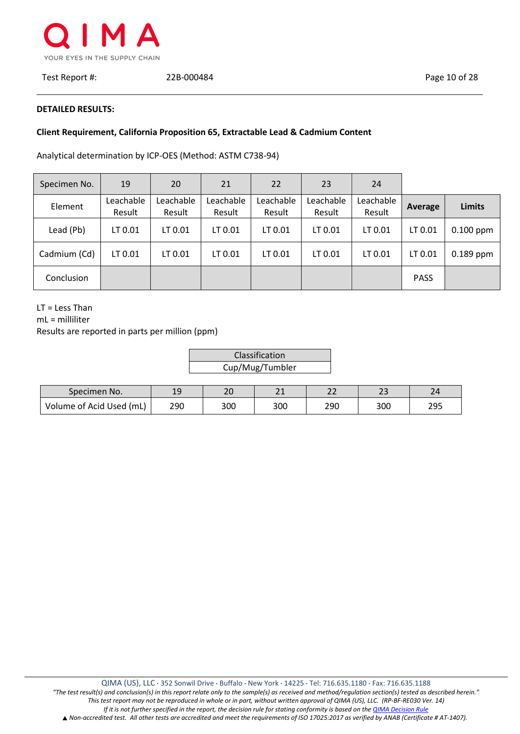

Test Report #: 22B-000484 Page 10 of 28

#### **DETAILED RESULTS:**

# **Client Requirement, California Proposition 65, Extractable Lead & Cadmium Content**

Analytical determination by ICP-OES (Method: ASTM C738-94)

| Specimen No. | 19                  | 20                  | 21                  | 22                  | 23                  | 24                  |             |               |
|--------------|---------------------|---------------------|---------------------|---------------------|---------------------|---------------------|-------------|---------------|
| Element      | Leachable<br>Result | Leachable<br>Result | Leachable<br>Result | Leachable<br>Result | Leachable<br>Result | Leachable<br>Result | Average     | <b>Limits</b> |
| Lead (Pb)    | LT 0.01             | LT 0.01             | LT 0.01             | LT 0.01             | LT 0.01             | LT 0.01             | LT 0.01     | $0.100$ ppm   |
| Cadmium (Cd) | LT 0.01             | LT 0.01             | LT 0.01             | LT 0.01             | LT 0.01             | LT 0.01             | LT 0.01     | $0.189$ ppm   |
| Conclusion   |                     |                     |                     |                     |                     |                     | <b>PASS</b> |               |

LT = Less Than

mL = milliliter

| Classification  |
|-----------------|
| Cup/Mug/Tumbler |

| Specimen No.             | 1 C<br>ت -1 | ົາດ<br>ᅩ | $\sim$<br><u>_ _</u> | $\sim$ $\sim$<br>-- | $\sim$ $\sim$ | $\mathbf{\Omega}$ |
|--------------------------|-------------|----------|----------------------|---------------------|---------------|-------------------|
| Volume of Acid Used (mL) | 290         | 300      | 300                  | 290                 | 300           | 295               |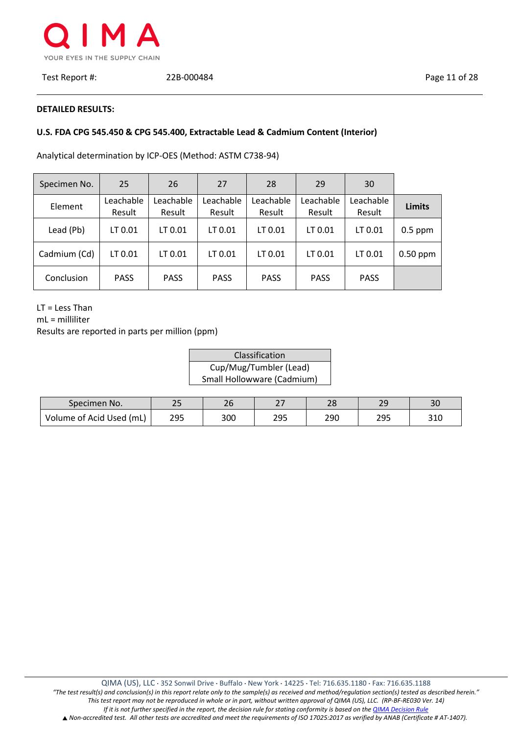

## **DETAILED RESULTS:**

# **U.S. FDA CPG 545.450 & CPG 545.400, Extractable Lead & Cadmium Content (Interior)**

Analytical determination by ICP-OES (Method: ASTM C738-94)

| Specimen No. | 25                  | 26                  | 27                  | 28                  | 29                  | 30                  |               |
|--------------|---------------------|---------------------|---------------------|---------------------|---------------------|---------------------|---------------|
| Element      | Leachable<br>Result | Leachable<br>Result | Leachable<br>Result | Leachable<br>Result | Leachable<br>Result | Leachable<br>Result | <b>Limits</b> |
| Lead (Pb)    | LT 0.01             | LT 0.01             | LT 0.01             | LT 0.01             | LT 0.01             | LT 0.01             | $0.5$ ppm     |
| Cadmium (Cd) | LT 0.01             | LT 0.01             | LT 0.01             | LT 0.01             | LT 0.01             | LT 0.01             | $0.50$ ppm    |
| Conclusion   | <b>PASS</b>         | <b>PASS</b>         | <b>PASS</b>         | <b>PASS</b>         | <b>PASS</b>         | <b>PASS</b>         |               |

LT = Less Than

mL = milliliter

| Classification             |
|----------------------------|
| Cup/Mug/Tumbler (Lead)     |
| Small Hollowware (Cadmium) |

| Specimen No.             | n r<br>ر ے | ᅩ   | $\sim$<br>$\epsilon$ | າດ<br>20 | $\Omega$<br><u>__</u> | 3 <sub>C</sub> |
|--------------------------|------------|-----|----------------------|----------|-----------------------|----------------|
| Volume of Acid Used (mL) | 295        | 300 | つロち<br>ر رے          | 290      | つロち<br>ر رے           | 310            |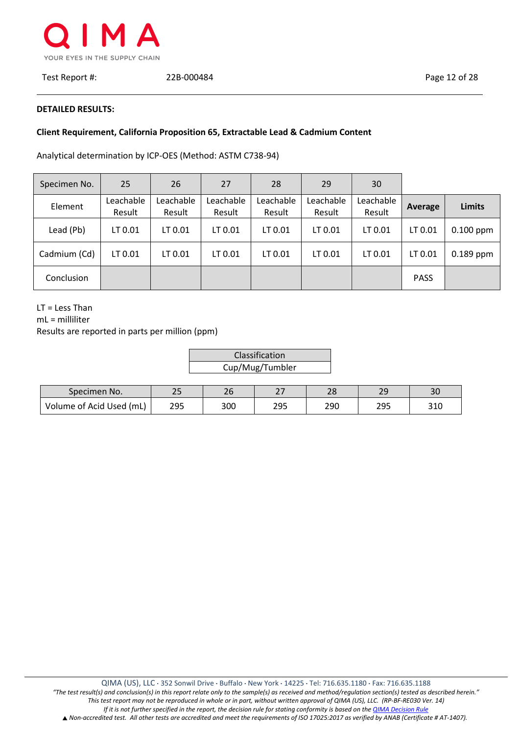

Test Report #: 22B-000484 Page 12 of 28

#### **DETAILED RESULTS:**

## **Client Requirement, California Proposition 65, Extractable Lead & Cadmium Content**

 $\vdash$ 

Analytical determination by ICP-OES (Method: ASTM C738-94)

| Specimen No. | 25                  | 26                  | 27                  | 28                  | 29                  | 30                  |             |               |
|--------------|---------------------|---------------------|---------------------|---------------------|---------------------|---------------------|-------------|---------------|
| Element      | Leachable<br>Result | Leachable<br>Result | Leachable<br>Result | Leachable<br>Result | Leachable<br>Result | Leachable<br>Result | Average     | <b>Limits</b> |
| Lead (Pb)    | LT 0.01             | LT 0.01             | LT 0.01             | LT 0.01             | LT 0.01             | LT 0.01             | LT 0.01     | $0.100$ ppm   |
| Cadmium (Cd) | LT 0.01             | LT 0.01             | LT 0.01             | LT 0.01             | LT 0.01             | LT 0.01             | LT 0.01     | $0.189$ ppm   |
| Conclusion   |                     |                     |                     |                     |                     |                     | <b>PASS</b> |               |

LT = Less Than

mL = milliliter

| Classification  |  |
|-----------------|--|
| Cup/Mug/Tumbler |  |

| Specimen No.             | つに  | $\sim$ | $\sim$ $-$ | າດ  | $\mathcal{L}$ | າດ                |
|--------------------------|-----|--------|------------|-----|---------------|-------------------|
|                          | ب ک | 2 u    | <u>.</u>   | ∠٥  | $-$           | υc                |
| Volume of Acid Used (mL) | 295 | 300    | つロち<br>293 | 290 | ⊐∩ר<br>ر ر    | 210<br><b>JIU</b> |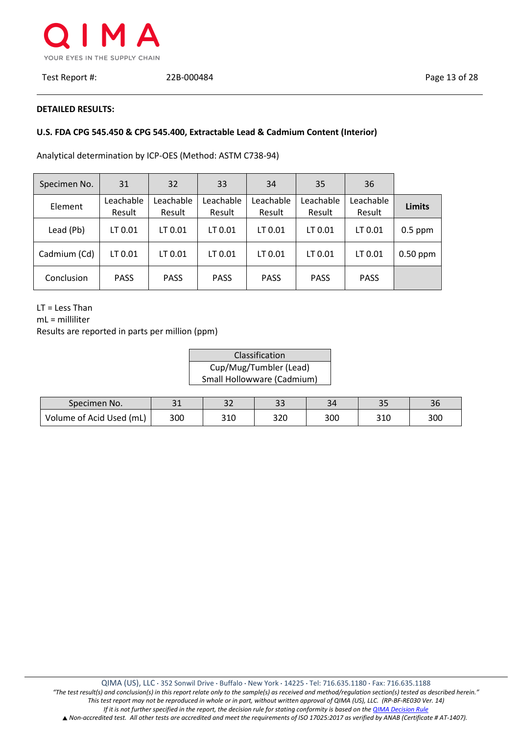

#### **DETAILED RESULTS:**

# **U.S. FDA CPG 545.450 & CPG 545.400, Extractable Lead & Cadmium Content (Interior)**

Analytical determination by ICP-OES (Method: ASTM C738-94)

| Specimen No. | 31                  | 32                  | 33                  | 34                  | 35                  | 36                  |               |
|--------------|---------------------|---------------------|---------------------|---------------------|---------------------|---------------------|---------------|
| Element      | Leachable<br>Result | Leachable<br>Result | Leachable<br>Result | Leachable<br>Result | Leachable<br>Result | Leachable<br>Result | <b>Limits</b> |
| Lead (Pb)    | LT 0.01             | LT 0.01             | LT 0.01             | LT 0.01             | LT 0.01             | LT 0.01             | $0.5$ ppm     |
| Cadmium (Cd) | LT 0.01             | LT 0.01             | LT 0.01             | LT 0.01             | LT 0.01             | LT 0.01             | $0.50$ ppm    |
| Conclusion   | <b>PASS</b>         | <b>PASS</b>         | <b>PASS</b>         | <b>PASS</b>         | <b>PASS</b>         | <b>PASS</b>         |               |

LT = Less Than

mL = milliliter

| Classification             |
|----------------------------|
| Cup/Mug/Tumbler (Lead)     |
| Small Hollowware (Cadmium) |

| Specimen No.             | า 1<br>- 1 | ے ب | $\mathbf{\Omega}$<br>ر ر | 34  | $\mathbf{r}$<br><u>-</u> | 36  |
|--------------------------|------------|-----|--------------------------|-----|--------------------------|-----|
| Volume of Acid Used (mL) | 300        | 310 | 320                      | 300 | 310                      | 300 |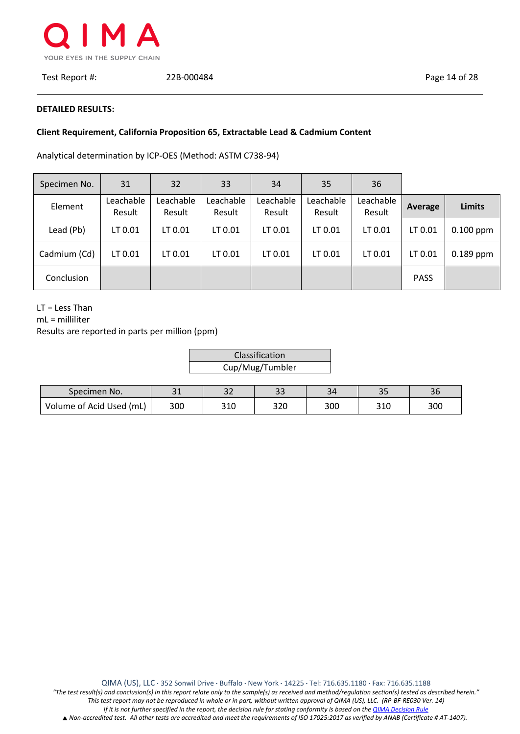

#### **DETAILED RESULTS:**

# **Client Requirement, California Proposition 65, Extractable Lead & Cadmium Content**

Analytical determination by ICP-OES (Method: ASTM C738-94)

| Specimen No. | 31                  | 32                  | 33                  | 34                  | 35                  | 36                  |             |               |
|--------------|---------------------|---------------------|---------------------|---------------------|---------------------|---------------------|-------------|---------------|
| Element      | Leachable<br>Result | Leachable<br>Result | Leachable<br>Result | Leachable<br>Result | Leachable<br>Result | Leachable<br>Result | Average     | <b>Limits</b> |
| Lead (Pb)    | LT 0.01             | LT 0.01             | LT 0.01             | LT 0.01             | LT 0.01             | LT 0.01             | LT 0.01     | $0.100$ ppm   |
| Cadmium (Cd) | LT 0.01             | LT 0.01             | LT 0.01             | LT 0.01             | LT 0.01             | LT 0.01             | LT 0.01     | $0.189$ ppm   |
| Conclusion   |                     |                     |                     |                     |                     |                     | <b>PASS</b> |               |

LT = Less Than

mL = milliliter

| Classification  |
|-----------------|
| Cup/Mug/Tumbler |

| Specimen No.             | า 1 | ົ<br>ے ب | $\sim$<br>ں ب | 34  | <u>-</u> | $\sim$<br>JΣ |
|--------------------------|-----|----------|---------------|-----|----------|--------------|
| Volume of Acid Used (mL) | 300 | 310      | חרר<br>∍∠∪    | 300 | 310      | 300          |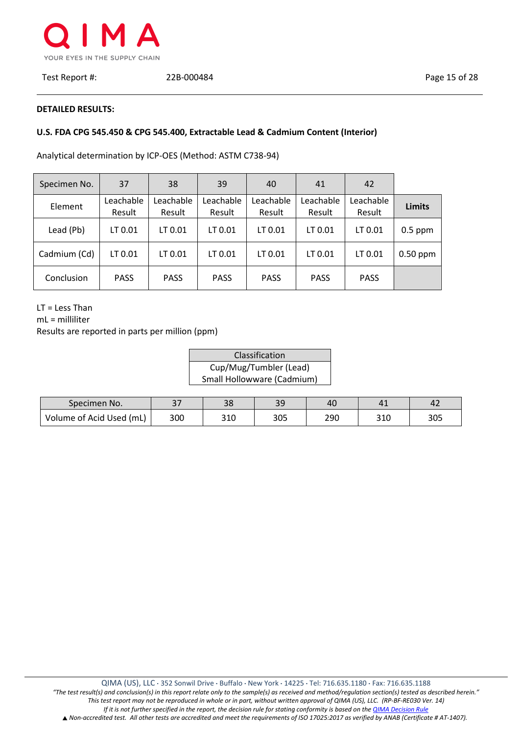

#### **DETAILED RESULTS:**

# **U.S. FDA CPG 545.450 & CPG 545.400, Extractable Lead & Cadmium Content (Interior)**

Analytical determination by ICP-OES (Method: ASTM C738-94)

| Specimen No. | 37                  | 38                  | 39                  | 40                  | 41                  | 42                  |               |
|--------------|---------------------|---------------------|---------------------|---------------------|---------------------|---------------------|---------------|
| Element      | Leachable<br>Result | Leachable<br>Result | Leachable<br>Result | Leachable<br>Result | Leachable<br>Result | Leachable<br>Result | <b>Limits</b> |
| Lead (Pb)    | LT 0.01             | LT 0.01             | LT 0.01             | LT 0.01             | LT 0.01             | LT 0.01             | $0.5$ ppm     |
| Cadmium (Cd) | LT 0.01             | LT 0.01             | LT 0.01             | LT 0.01             | LT 0.01             | LT 0.01             | $0.50$ ppm    |
| Conclusion   | <b>PASS</b>         | <b>PASS</b>         | <b>PASS</b>         | <b>PASS</b>         | <b>PASS</b>         | <b>PASS</b>         |               |

LT = Less Than

mL = milliliter

| Classification             |
|----------------------------|
| Cup/Mug/Tumbler (Lead)     |
| Small Hollowware (Cadmium) |

| Specimen No.             | ำ¬  | າດ<br>၁၀ | 3C<br>ت ب | 40  |     |     |
|--------------------------|-----|----------|-----------|-----|-----|-----|
| Volume of Acid Used (mL) | 300 | 310      | 305       | 290 | 310 | 305 |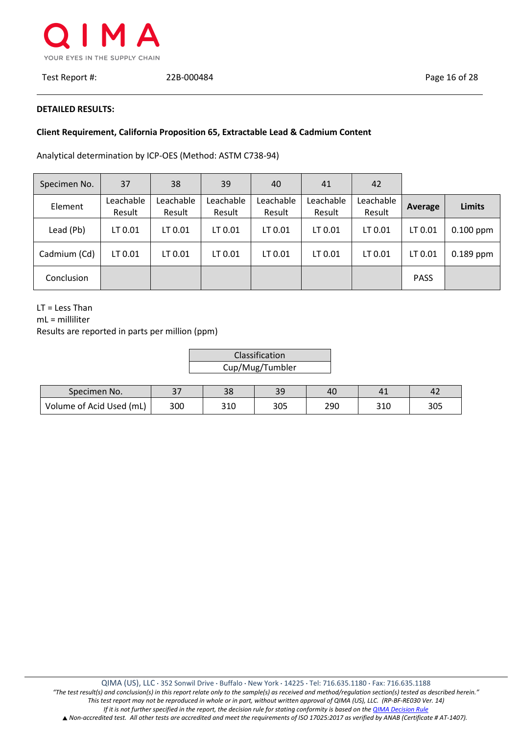

#### **DETAILED RESULTS:**

# **Client Requirement, California Proposition 65, Extractable Lead & Cadmium Content**

 $\vdash$ 

Analytical determination by ICP-OES (Method: ASTM C738-94)

| Specimen No. | 37                  | 38                  | 39                  | 40                  | 41                  | 42                  |             |               |
|--------------|---------------------|---------------------|---------------------|---------------------|---------------------|---------------------|-------------|---------------|
| Element      | Leachable<br>Result | Leachable<br>Result | Leachable<br>Result | Leachable<br>Result | Leachable<br>Result | Leachable<br>Result | Average     | <b>Limits</b> |
| Lead (Pb)    | LT 0.01             | LT 0.01             | LT 0.01             | LT 0.01             | LT 0.01             | LT 0.01             | LT 0.01     | $0.100$ ppm   |
| Cadmium (Cd) | LT 0.01             | LT 0.01             | LT 0.01             | LT 0.01             | LT 0.01             | LT 0.01             | LT 0.01     | $0.189$ ppm   |
| Conclusion   |                     |                     |                     |                     |                     |                     | <b>PASS</b> |               |

LT = Less Than

mL = milliliter

| Classification  |  |
|-----------------|--|
| Cup/Mug/Tumbler |  |

| Specimen No.             | ີ   | າດ<br>၁၀ | 39  | 40  |     |     |
|--------------------------|-----|----------|-----|-----|-----|-----|
| Volume of Acid Used (mL) | 300 | 310      | 305 | 290 | 310 | 305 |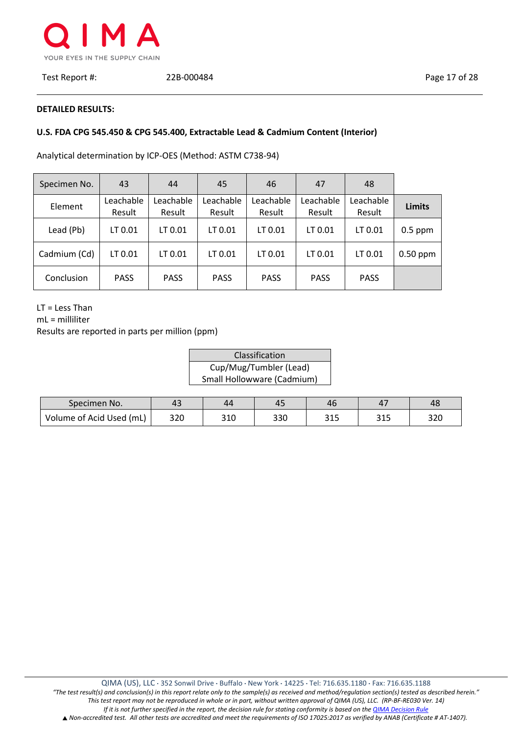

Test Report #: 22B-000484 Page 17 of 28

## **DETAILED RESULTS:**

# **U.S. FDA CPG 545.450 & CPG 545.400, Extractable Lead & Cadmium Content (Interior)**

Analytical determination by ICP-OES (Method: ASTM C738-94)

| Specimen No. | 43                  | 44                  | 45                  | 46                  | 47                  | 48                  |               |
|--------------|---------------------|---------------------|---------------------|---------------------|---------------------|---------------------|---------------|
| Element      | Leachable<br>Result | Leachable<br>Result | Leachable<br>Result | Leachable<br>Result | Leachable<br>Result | Leachable<br>Result | <b>Limits</b> |
| Lead (Pb)    | LT 0.01             | LT 0.01             | LT 0.01             | LT 0.01             | LT 0.01             | LT 0.01             | $0.5$ ppm     |
| Cadmium (Cd) | LT 0.01             | LT 0.01             | LT 0.01             | LT 0.01             | LT 0.01             | LT 0.01             | $0.50$ ppm    |
| Conclusion   | <b>PASS</b>         | <b>PASS</b>         | <b>PASS</b>         | <b>PASS</b>         | <b>PASS</b>         | <b>PASS</b>         |               |

LT = Less Than

mL = milliliter

| Classification             |
|----------------------------|
| Cup/Mug/Tumbler (Lead)     |
| Small Hollowware (Cadmium) |

| Specimen No.             | 43  | 44  | 45  | 46  |                   | 48  |
|--------------------------|-----|-----|-----|-----|-------------------|-----|
| Volume of Acid Used (mL) | 320 | 310 | 330 | 315 | <b>215</b><br>∟⊥د | 320 |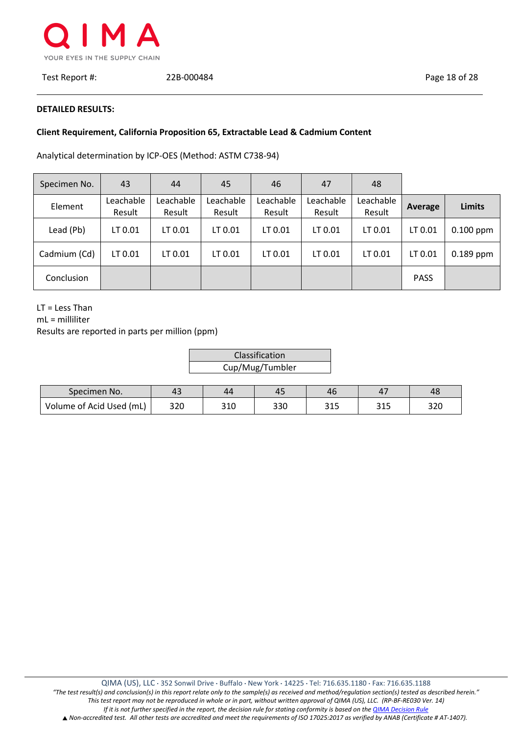

Test Report #: 22B-000484 Page 18 of 28

#### **DETAILED RESULTS:**

## **Client Requirement, California Proposition 65, Extractable Lead & Cadmium Content**

Analytical determination by ICP-OES (Method: ASTM C738-94)

| Specimen No. | 43                  | 44                  | 45                  | 46                  | 47                  | 48                  |             |               |
|--------------|---------------------|---------------------|---------------------|---------------------|---------------------|---------------------|-------------|---------------|
| Element      | Leachable<br>Result | Leachable<br>Result | Leachable<br>Result | Leachable<br>Result | Leachable<br>Result | Leachable<br>Result | Average     | <b>Limits</b> |
| Lead (Pb)    | LT 0.01             | LT 0.01             | LT 0.01             | LT 0.01             | LT 0.01             | LT 0.01             | LT 0.01     | $0.100$ ppm   |
| Cadmium (Cd) | LT 0.01             | LT 0.01             | LT 0.01             | LT 0.01             | LT 0.01             | LT 0.01             | LT 0.01     | $0.189$ ppm   |
| Conclusion   |                     |                     |                     |                     |                     |                     | <b>PASS</b> |               |

LT = Less Than

mL = milliliter

| Classification  |
|-----------------|
| Cup/Mug/Tumbler |

| Specimen No.             | $\Lambda$ 7<br>42 | 44  | 45  | 46          |             | 48  |
|--------------------------|-------------------|-----|-----|-------------|-------------|-----|
| Volume of Acid Used (mL) | 320               | 310 | 330 | つっこ<br>ر در | 24F<br>ت⊥ ت | 320 |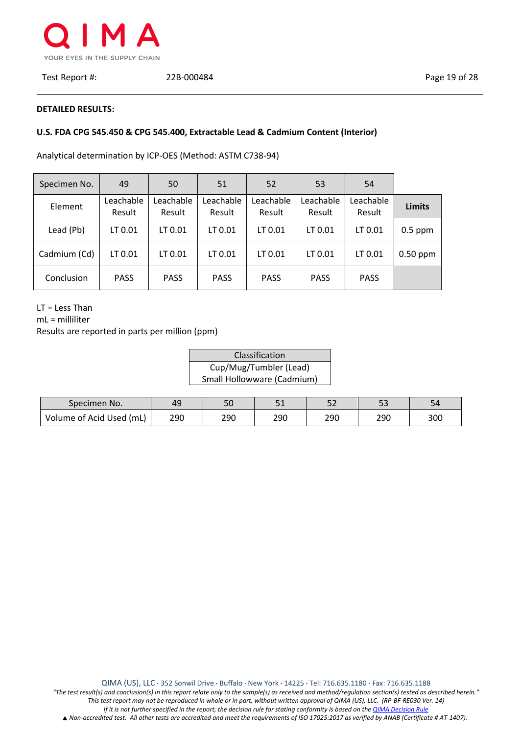

Test Report #: 22B-000484 Page 19 of 28

## **DETAILED RESULTS:**

## **U.S. FDA CPG 545.450 & CPG 545.400, Extractable Lead & Cadmium Content (Interior)**

Analytical determination by ICP-OES (Method: ASTM C738-94)

| Specimen No. | 49                  | 50                  | 51                  | 52                  | 53                  | 54                  |               |
|--------------|---------------------|---------------------|---------------------|---------------------|---------------------|---------------------|---------------|
| Element      | Leachable<br>Result | Leachable<br>Result | Leachable<br>Result | Leachable<br>Result | Leachable<br>Result | Leachable<br>Result | <b>Limits</b> |
| Lead (Pb)    | LT 0.01             | LT 0.01             | LT 0.01             | LT 0.01             | LT 0.01             | LT 0.01             | $0.5$ ppm     |
| Cadmium (Cd) | LT 0.01             | LT 0.01             | LT 0.01             | LT 0.01             | LT 0.01             | LT 0.01             | $0.50$ ppm    |
| Conclusion   | <b>PASS</b>         | <b>PASS</b>         | <b>PASS</b>         | <b>PASS</b>         | <b>PASS</b>         | <b>PASS</b>         |               |

LT = Less Than

mL = milliliter

| Classification             |
|----------------------------|
| Cup/Mug/Tumbler (Lead)     |
| Small Hollowware (Cadmium) |

| Specimen No.             | 49  | υc  | п.<br>- - | $ \sim$<br>ےر | --  | 54  |
|--------------------------|-----|-----|-----------|---------------|-----|-----|
| Volume of Acid Used (mL) | 290 | 290 | 290       | 290           | 290 | 300 |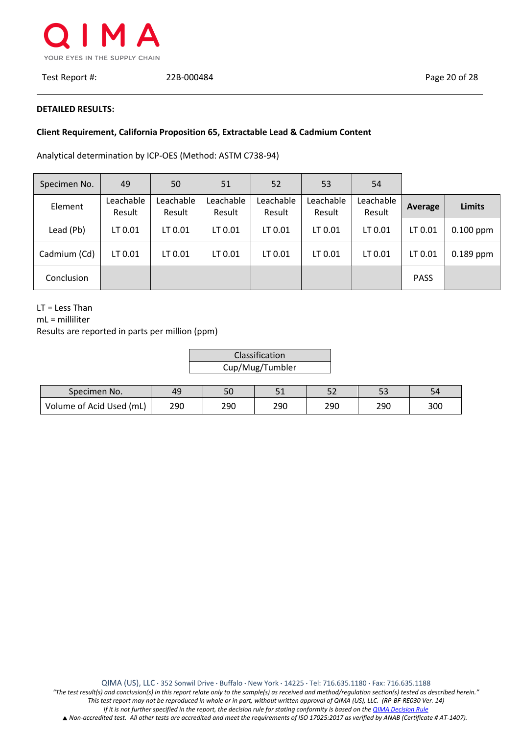

Test Report #: 22B-000484 Page 20 of 28

#### **DETAILED RESULTS:**

# **Client Requirement, California Proposition 65, Extractable Lead & Cadmium Content**

Analytical determination by ICP-OES (Method: ASTM C738-94)

| Specimen No. | 49                  | 50                  | 51                  | 52                  | 53                  | 54                  |             |               |
|--------------|---------------------|---------------------|---------------------|---------------------|---------------------|---------------------|-------------|---------------|
| Element      | Leachable<br>Result | Leachable<br>Result | Leachable<br>Result | Leachable<br>Result | Leachable<br>Result | Leachable<br>Result | Average     | <b>Limits</b> |
| Lead (Pb)    | LT 0.01             | LT 0.01             | LT 0.01             | LT 0.01             | LT 0.01             | LT 0.01             | LT 0.01     | $0.100$ ppm   |
| Cadmium (Cd) | LT 0.01             | LT 0.01             | LT 0.01             | LT 0.01             | LT 0.01             | LT 0.01             | LT 0.01     | $0.189$ ppm   |
| Conclusion   |                     |                     |                     |                     |                     |                     | <b>PASS</b> |               |

LT = Less Than

mL = milliliter

| Classification  |  |
|-----------------|--|
| Cup/Mug/Tumbler |  |

| Specimen No.             | 49  | υc  | $\mathsf{r}$<br>- - | - -<br>ے ب | $ \sim$<br>-- | ∙د  |
|--------------------------|-----|-----|---------------------|------------|---------------|-----|
| Volume of Acid Used (mL) | 290 | 290 | 290                 | 290        | 290           | 300 |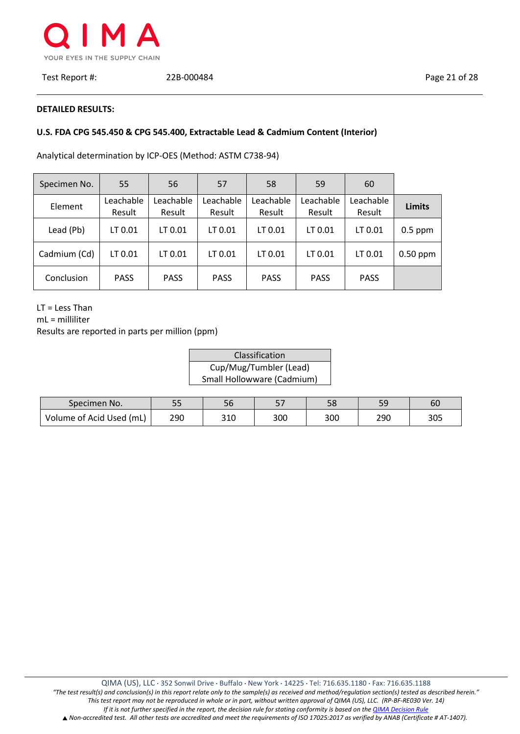

## **DETAILED RESULTS:**

## **U.S. FDA CPG 545.450 & CPG 545.400, Extractable Lead & Cadmium Content (Interior)**

Analytical determination by ICP-OES (Method: ASTM C738-94)

| Specimen No. | 55                  | 56                  | 57                  | 58                  | 59                  | 60                  |               |
|--------------|---------------------|---------------------|---------------------|---------------------|---------------------|---------------------|---------------|
| Element      | Leachable<br>Result | Leachable<br>Result | Leachable<br>Result | Leachable<br>Result | Leachable<br>Result | Leachable<br>Result | <b>Limits</b> |
| Lead (Pb)    | LT 0.01             | LT 0.01             | LT 0.01             | LT 0.01             | LT 0.01             | LT 0.01             | $0.5$ ppm     |
| Cadmium (Cd) | LT 0.01             | LT 0.01             | LT 0.01             | LT 0.01             | LT 0.01             | LT 0.01             | $0.50$ ppm    |
| Conclusion   | <b>PASS</b>         | <b>PASS</b>         | <b>PASS</b>         | <b>PASS</b>         | <b>PASS</b>         | <b>PASS</b>         |               |

LT = Less Than

mL = milliliter

| Classification             |
|----------------------------|
| Cup/Mug/Tumbler (Lead)     |
| Small Hollowware (Cadmium) |

| Specimen No.             | ככ  | סכ  | E 7<br>، ب | 58  | <u>-</u> | 60  |
|--------------------------|-----|-----|------------|-----|----------|-----|
| Volume of Acid Used (mL) | 290 | 310 | 300        | 300 | 290      | 305 |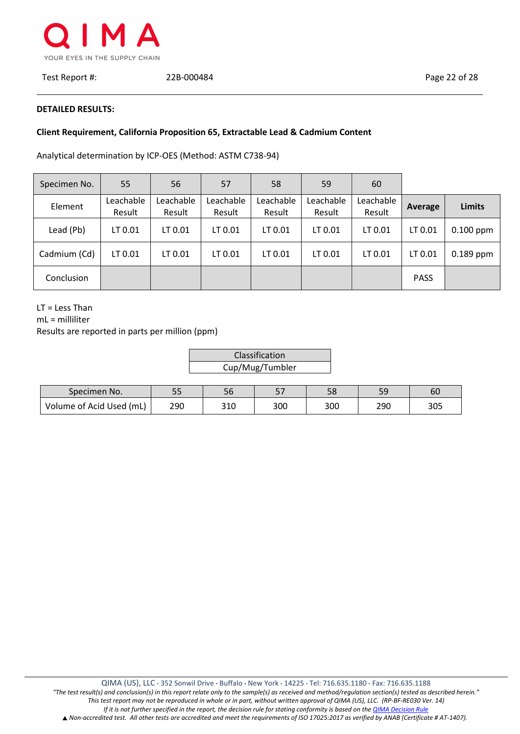

#### **DETAILED RESULTS:**

# **Client Requirement, California Proposition 65, Extractable Lead & Cadmium Content**

 $\vdash$ 

Analytical determination by ICP-OES (Method: ASTM C738-94)

| Specimen No. | 55                  | 56                  | 57                  | 58                  | 59                  | 60                  |             |               |
|--------------|---------------------|---------------------|---------------------|---------------------|---------------------|---------------------|-------------|---------------|
| Element      | Leachable<br>Result | Leachable<br>Result | Leachable<br>Result | Leachable<br>Result | Leachable<br>Result | Leachable<br>Result | Average     | <b>Limits</b> |
| Lead (Pb)    | LT 0.01             | LT 0.01             | LT 0.01             | LT 0.01             | LT 0.01             | LT 0.01             | LT 0.01     | $0.100$ ppm   |
| Cadmium (Cd) | LT 0.01             | LT 0.01             | LT 0.01             | LT 0.01             | LT 0.01             | LT 0.01             | LT 0.01     | $0.189$ ppm   |
| Conclusion   |                     |                     |                     |                     |                     |                     | <b>PASS</b> |               |

LT = Less Than

mL = milliliter

| Classification  |  |
|-----------------|--|
| Cup/Mug/Tumbler |  |

| Specimen No.             | --  | סכ  | $-$<br>، ب | 58  | <u>.</u> | 60  |
|--------------------------|-----|-----|------------|-----|----------|-----|
| Volume of Acid Used (mL) | 290 | 310 | 300        | 300 | 290      | 305 |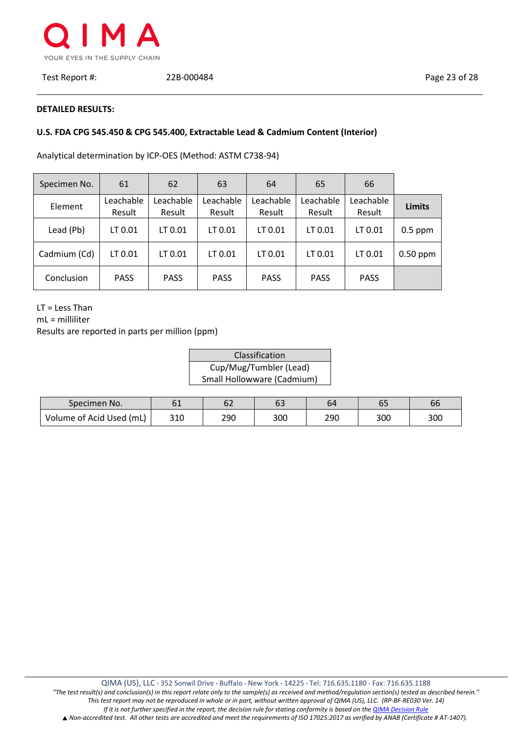

#### **DETAILED RESULTS:**

# **U.S. FDA CPG 545.450 & CPG 545.400, Extractable Lead & Cadmium Content (Interior)**

Analytical determination by ICP-OES (Method: ASTM C738-94)

| Specimen No. | 61                  | 62                  | 63                  | 64                  | 65                  | 66                  |               |
|--------------|---------------------|---------------------|---------------------|---------------------|---------------------|---------------------|---------------|
| Element      | Leachable<br>Result | Leachable<br>Result | Leachable<br>Result | Leachable<br>Result | Leachable<br>Result | Leachable<br>Result | <b>Limits</b> |
| Lead (Pb)    | LT 0.01             | LT 0.01             | LT 0.01             | LT 0.01             | LT 0.01             | LT 0.01             | $0.5$ ppm     |
| Cadmium (Cd) | LT 0.01             | LT 0.01             | LT 0.01             | LT 0.01             | LT 0.01             | LT 0.01             | $0.50$ ppm    |
| Conclusion   | <b>PASS</b>         | <b>PASS</b>         | <b>PASS</b>         | <b>PASS</b>         | <b>PASS</b>         | <b>PASS</b>         |               |

LT = Less Than

mL = milliliter

| Classification             |
|----------------------------|
| Cup/Mug/Tumbler (Lead)     |
| Small Hollowware (Cadmium) |

| Specimen No.             | υ⊥  | 62  | 63  | 64  | oΞ  | 66  |
|--------------------------|-----|-----|-----|-----|-----|-----|
| Volume of Acid Used (mL) | 310 | 290 | 300 | 290 | 300 | 300 |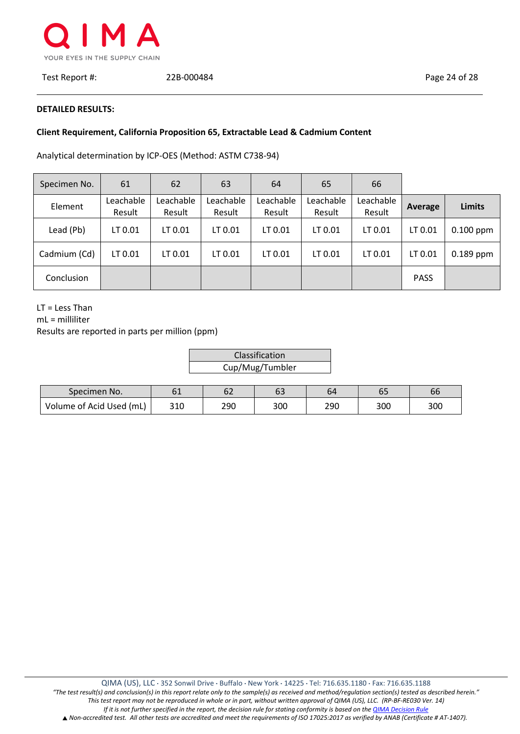

Test Report #: 22B-000484 Page 24 of 28

#### **DETAILED RESULTS:**

# **Client Requirement, California Proposition 65, Extractable Lead & Cadmium Content**

 $\vdash$ 

Analytical determination by ICP-OES (Method: ASTM C738-94)

| Specimen No. | 61                  | 62                  | 63                  | 64                  | 65                  | 66                  |             |               |
|--------------|---------------------|---------------------|---------------------|---------------------|---------------------|---------------------|-------------|---------------|
| Element      | Leachable<br>Result | Leachable<br>Result | Leachable<br>Result | Leachable<br>Result | Leachable<br>Result | Leachable<br>Result | Average     | <b>Limits</b> |
| Lead (Pb)    | LT 0.01             | LT 0.01             | LT 0.01             | LT 0.01             | LT 0.01             | LT 0.01             | LT 0.01     | $0.100$ ppm   |
| Cadmium (Cd) | LT 0.01             | LT 0.01             | LT 0.01             | LT 0.01             | LT 0.01             | LT 0.01             | LT 0.01     | $0.189$ ppm   |
| Conclusion   |                     |                     |                     |                     |                     |                     | <b>PASS</b> |               |

LT = Less Than

mL = milliliter

| Classification  |  |
|-----------------|--|
| Cup/Mug/Tumbler |  |
|                 |  |

| Specimen No.             | ᇰᅩ  | ◡∠  | 63  | 64  | ບວ  | $\epsilon$<br>bt |
|--------------------------|-----|-----|-----|-----|-----|------------------|
| Volume of Acid Used (mL) | 310 | 290 | 300 | 290 | 300 | 300              |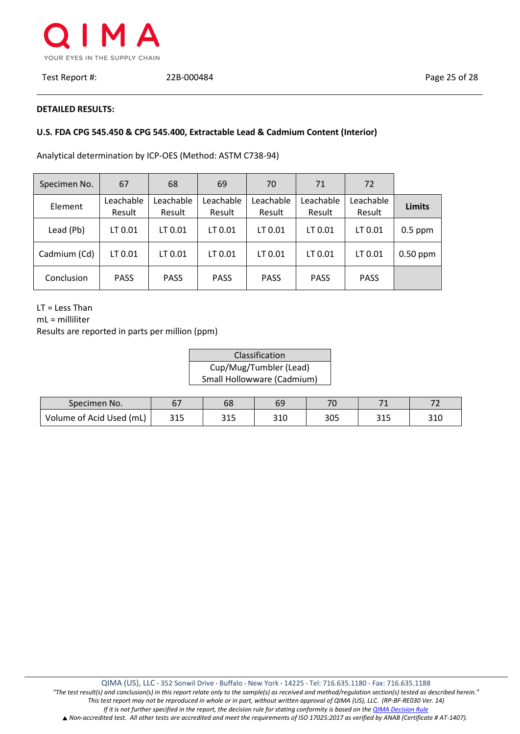

#### **DETAILED RESULTS:**

# **U.S. FDA CPG 545.450 & CPG 545.400, Extractable Lead & Cadmium Content (Interior)**

Analytical determination by ICP-OES (Method: ASTM C738-94)

| Specimen No. | 67                  | 68                  | 69                  | 70                  | 71                  | 72                  |               |
|--------------|---------------------|---------------------|---------------------|---------------------|---------------------|---------------------|---------------|
| Element      | Leachable<br>Result | Leachable<br>Result | Leachable<br>Result | Leachable<br>Result | Leachable<br>Result | Leachable<br>Result | <b>Limits</b> |
| Lead (Pb)    | LT 0.01             | LT 0.01             | LT 0.01             | LT 0.01             | LT 0.01             | LT 0.01             | $0.5$ ppm     |
| Cadmium (Cd) | LT 0.01             | LT 0.01             | LT 0.01             | LT 0.01             | LT 0.01             | LT 0.01             | $0.50$ ppm    |
| Conclusion   | <b>PASS</b>         | <b>PASS</b>         | <b>PASS</b>         | <b>PASS</b>         | <b>PASS</b>         | <b>PASS</b>         |               |

LT = Less Than

mL = milliliter

| Classification             |
|----------------------------|
| Cup/Mug/Tumbler (Lead)     |
| Small Hollowware (Cadmium) |

| Specimen No.             | <b>r</b> 7 | 68                  | 69         | 70 <sub>1</sub> | $\overline{\phantom{0}}$ |     |
|--------------------------|------------|---------------------|------------|-----------------|--------------------------|-----|
| Volume of Acid Used (mL) | 315        | <b>O1F</b><br>د د د | วงก<br>∍⊥∪ | 305             | <b>O</b> 4 F<br>ں و      | 310 |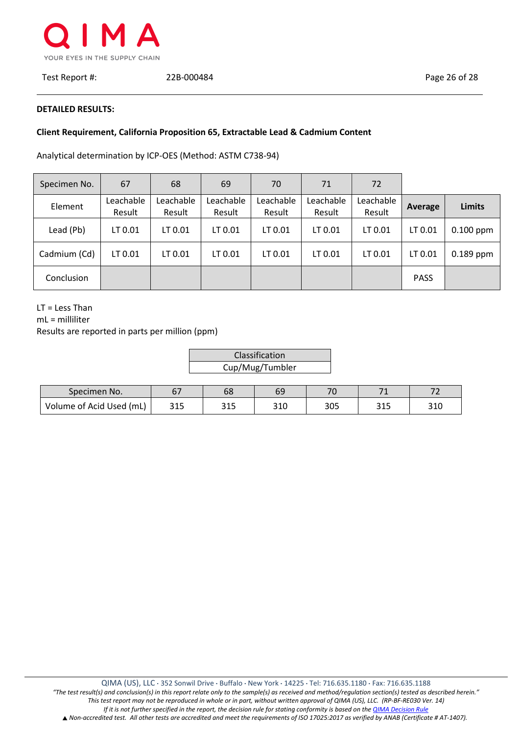

#### **DETAILED RESULTS:**

## **Client Requirement, California Proposition 65, Extractable Lead & Cadmium Content**

 $\vdash$ 

Analytical determination by ICP-OES (Method: ASTM C738-94)

| Specimen No. | 67                  | 68                  | 69                  | 70                  | 71                  | 72                  |             |               |
|--------------|---------------------|---------------------|---------------------|---------------------|---------------------|---------------------|-------------|---------------|
| Element      | Leachable<br>Result | Leachable<br>Result | Leachable<br>Result | Leachable<br>Result | Leachable<br>Result | Leachable<br>Result | Average     | <b>Limits</b> |
| Lead (Pb)    | LT 0.01             | LT 0.01             | LT 0.01             | LT 0.01             | LT 0.01             | LT 0.01             | LT 0.01     | $0.100$ ppm   |
| Cadmium (Cd) | LT 0.01             | LT 0.01             | LT 0.01             | LT 0.01             | LT 0.01             | LT 0.01             | LT 0.01     | $0.189$ ppm   |
| Conclusion   |                     |                     |                     |                     |                     |                     | <b>PASS</b> |               |

LT = Less Than

mL = milliliter

| Classification  |  |
|-----------------|--|
| Cup/Mug/Tumbler |  |

| Specimen No.             |              | 68           | 69           | $\overline{\phantom{a}}$ | $\overline{\phantom{a}}$ | $-$        |
|--------------------------|--------------|--------------|--------------|--------------------------|--------------------------|------------|
| Volume of Acid Used (mL) | 215<br>ر 1 د | つィー<br>د د د | 210<br>ں د ت | 305                      | 24F<br>ـ ـ ـ             | วาก<br>∍⊥u |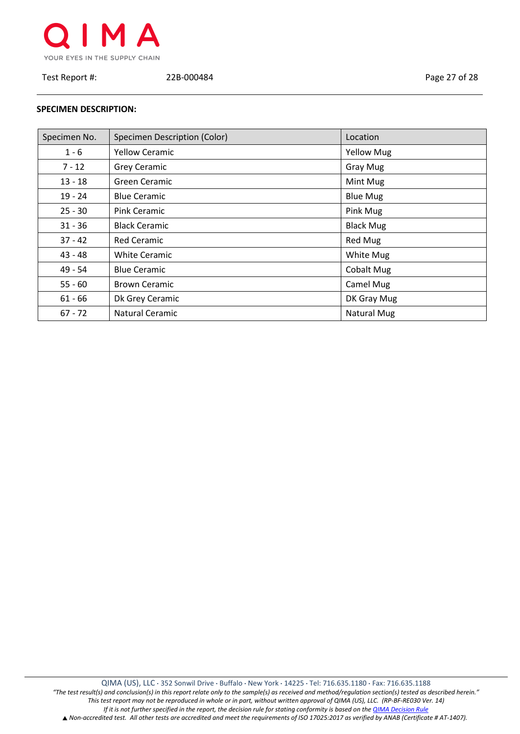

Test Report #: 22B-000484 Page 27 of 28

## **SPECIMEN DESCRIPTION:**

| Specimen No. | Specimen Description (Color) | Location          |
|--------------|------------------------------|-------------------|
| $1 - 6$      | <b>Yellow Ceramic</b>        | <b>Yellow Mug</b> |
| $7 - 12$     | <b>Grey Ceramic</b>          | <b>Gray Mug</b>   |
| $13 - 18$    | Green Ceramic                | Mint Mug          |
| $19 - 24$    | <b>Blue Ceramic</b>          | <b>Blue Mug</b>   |
| $25 - 30$    | <b>Pink Ceramic</b>          | Pink Mug          |
| $31 - 36$    | <b>Black Ceramic</b>         | <b>Black Mug</b>  |
| $37 - 42$    | <b>Red Ceramic</b>           | Red Mug           |
| 43 - 48      | <b>White Ceramic</b>         | White Mug         |
| 49 - 54      | <b>Blue Ceramic</b>          | <b>Cobalt Mug</b> |
| $55 - 60$    | <b>Brown Ceramic</b>         | Camel Mug         |
| $61 - 66$    | Dk Grey Ceramic              | DK Gray Mug       |
| $67 - 72$    | Natural Ceramic              | Natural Mug       |